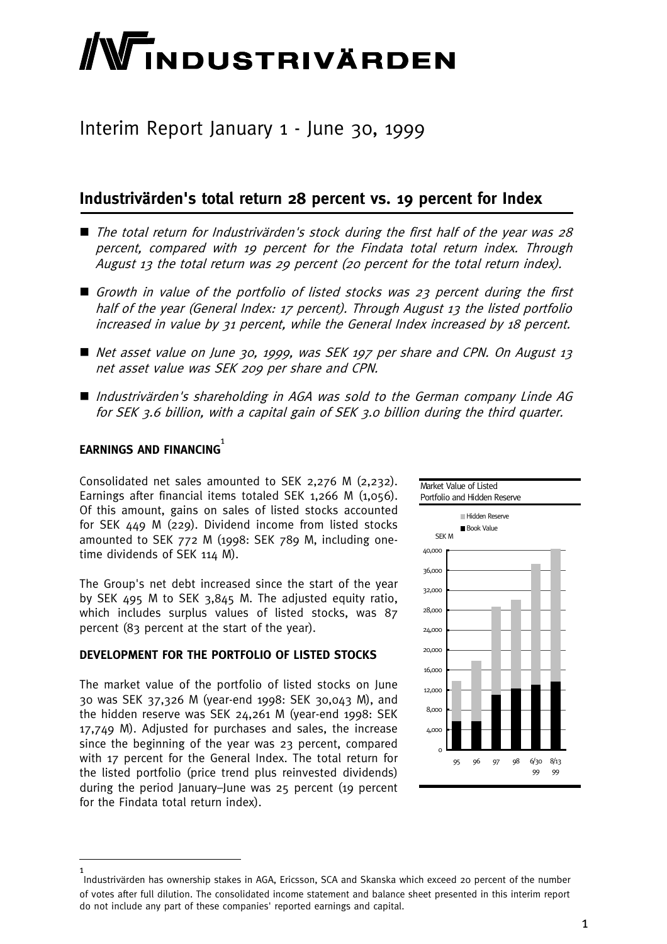# **NTINDUSTRIVÄRDEN**

# Interim Report January 1 - June 30, 1999

# **Industrivärden's total return 28 percent vs. 19 percent for Index**

- The total return for Industrivärden's stock during the first half of the year was 28 percent, compared with 19 percent for the Findata total return index. Through August 13 the total return was 29 percent (20 percent for the total return index).
- Growth in value of the portfolio of listed stocks was 23 percent during the first half of the year (General Index: 17 percent). Through August 13 the listed portfolio increased in value by 31 percent, while the General Index increased by 18 percent.
- Net asset value on June 30, 1999, was SEK 197 per share and CPN. On August 13 net asset value was SEK 209 per share and CPN.
- Industrivärden's shareholding in AGA was sold to the German company Linde AG for SEK 3.6 billion, with a capital gain of SEK 3.0 billion during the third quarter.

# **EARNINGS AND FINANCING** 1

Consolidated net sales amounted to SEK 2,276 M (2,232). Earnings after financial items totaled SEK 1,266 M (1,056). Of this amount, gains on sales of listed stocks accounted for SEK 449 M (229). Dividend income from listed stocks amounted to SEK 772 M (1998: SEK 789 M, including onetime dividends of SEK 114 M).

The Group's net debt increased since the start of the year by SEK 495 M to SEK 3,845 M. The adjusted equity ratio, which includes surplus values of listed stocks, was 87 percent (83 percent at the start of the year).

#### **DEVELOPMENT FOR THE PORTFOLIO OF LISTED STOCKS**

The market value of the portfolio of listed stocks on June 30 was SEK 37,326 M (year-end 1998: SEK 30,043 M), and the hidden reserve was SEK 24,261 M (year-end 1998: SEK 17,749 M). Adjusted for purchases and sales, the increase since the beginning of the year was 23 percent, compared with 17 percent for the General Index. The total return for the listed portfolio (price trend plus reinvested dividends) during the period January–June was 25 percent (19 percent for the Findata total return index).



<sup>1</sup> Industrivärden has ownership stakes in AGA, Ericsson, SCA and Skanska which exceed 20 percent of the number of votes after full dilution. The consolidated income statement and balance sheet presented in this interim report do not include any part of these companies' reported earnings and capital.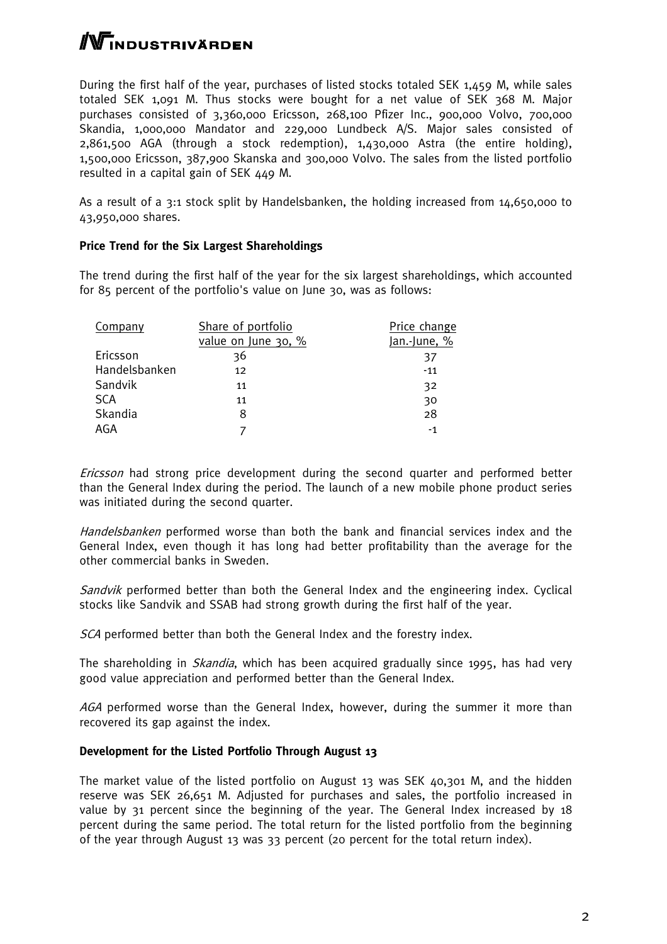# **/Wi**ndustrivärden

During the first half of the year, purchases of listed stocks totaled SEK 1,459 M, while sales totaled SEK 1,091 M. Thus stocks were bought for a net value of SEK 368 M. Major purchases consisted of 3,360,000 Ericsson, 268,100 Pfizer Inc., 900,000 Volvo, 700,000 Skandia, 1,000,000 Mandator and 229,000 Lundbeck A/S. Major sales consisted of 2,861,500 AGA (through a stock redemption), 1,430,000 Astra (the entire holding), 1,500,000 Ericsson, 387,900 Skanska and 300,000 Volvo. The sales from the listed portfolio resulted in a capital gain of SEK 449 M.

As a result of a 3:1 stock split by Handelsbanken, the holding increased from 14,650,000 to 43,950,000 shares.

#### **Price Trend for the Six Largest Shareholdings**

The trend during the first half of the year for the six largest shareholdings, which accounted for 85 percent of the portfolio's value on June 30, was as follows:

| Company       | Share of portfolio  | Price change |
|---------------|---------------------|--------------|
|               | value on June 30, % | Jan.-June, % |
| Ericsson      | 36                  | 37           |
| Handelsbanken | 12                  | $-11$        |
| Sandvik       | 11                  | 32           |
| <b>SCA</b>    | 11                  | 30           |
| Skandia       | 8                   | 28           |
| AGA           |                     | $-1$         |

Ericsson had strong price development during the second quarter and performed better than the General Index during the period. The launch of a new mobile phone product series was initiated during the second quarter.

Handelsbanken performed worse than both the bank and financial services index and the General Index, even though it has long had better profitability than the average for the other commercial banks in Sweden.

Sandvik performed better than both the General Index and the engineering index. Cyclical stocks like Sandvik and SSAB had strong growth during the first half of the year.

SCA performed better than both the General Index and the forestry index.

The shareholding in *Skandia*, which has been acquired gradually since 1995, has had very good value appreciation and performed better than the General Index.

AGA performed worse than the General Index, however, during the summer it more than recovered its gap against the index.

#### **Development for the Listed Portfolio Through August 13**

The market value of the listed portfolio on August 13 was SEK 40,301 M, and the hidden reserve was SEK 26,651 M. Adjusted for purchases and sales, the portfolio increased in value by 31 percent since the beginning of the year. The General Index increased by 18 percent during the same period. The total return for the listed portfolio from the beginning of the year through August 13 was 33 percent (20 percent for the total return index).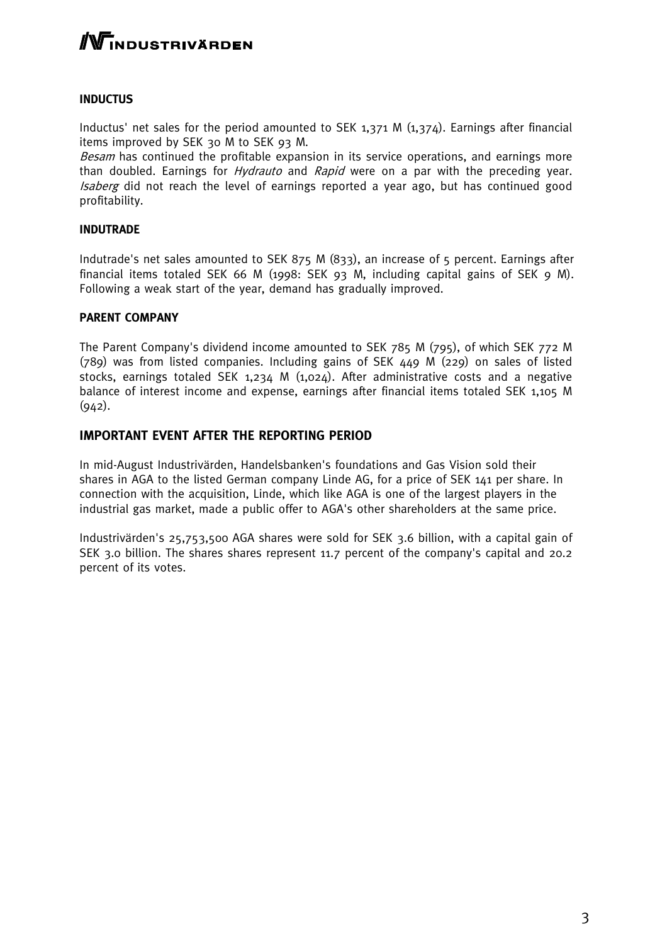# **/Wi**ndustrivärden

#### **INDUCTUS**

Inductus' net sales for the period amounted to SEK 1,371 M (1,374). Earnings after financial items improved by SEK 30 M to SEK 93 M.

Besam has continued the profitable expansion in its service operations, and earnings more than doubled. Earnings for *Hydrauto* and *Rapid* were on a par with the preceding year. Isaberg did not reach the level of earnings reported a year ago, but has continued good profitability.

#### **INDUTRADE**

Indutrade's net sales amounted to SEK 875 M (833), an increase of 5 percent. Earnings after financial items totaled SEK 66 M (1998: SEK 93 M, including capital gains of SEK 9 M). Following a weak start of the year, demand has gradually improved.

#### **PARENT COMPANY**

The Parent Company's dividend income amounted to SEK 785 M (795), of which SEK 772 M (789) was from listed companies. Including gains of SEK 449 M (229) on sales of listed stocks, earnings totaled SEK 1,234 M  $(1,024)$ . After administrative costs and a negative balance of interest income and expense, earnings after financial items totaled SEK 1,105 M  $(942).$ 

#### **IMPORTANT EVENT AFTER THE REPORTING PERIOD**

In mid-August Industrivärden, Handelsbanken's foundations and Gas Vision sold their shares in AGA to the listed German company Linde AG, for a price of SEK 141 per share. In connection with the acquisition, Linde, which like AGA is one of the largest players in the industrial gas market, made a public offer to AGA's other shareholders at the same price.

Industrivärden's 25,753,500 AGA shares were sold for SEK 3.6 billion, with a capital gain of SEK 3.0 billion. The shares shares represent 11.7 percent of the company's capital and 20.2 percent of its votes.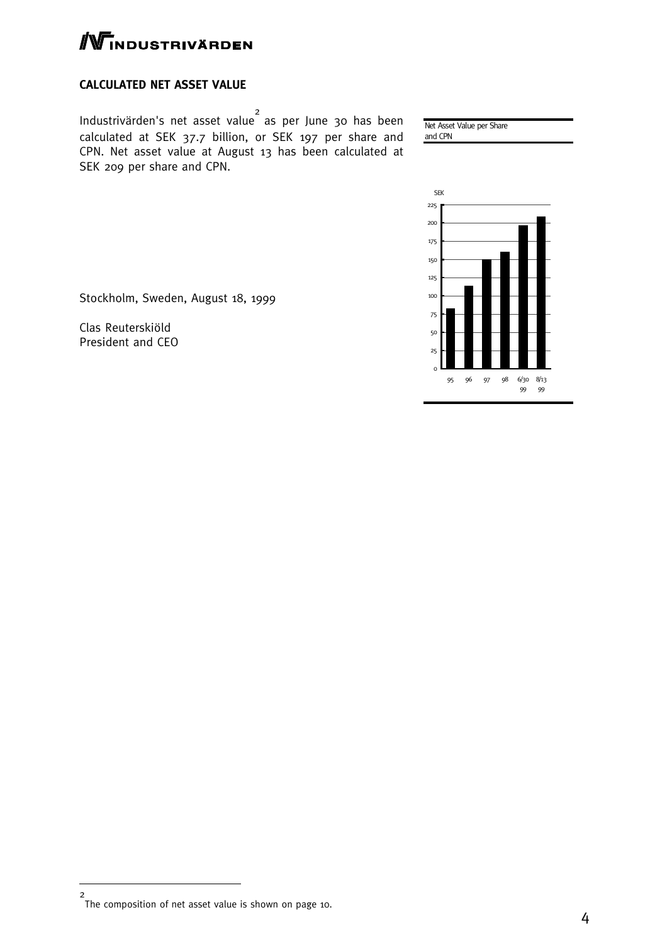

#### **CALCULATED NET ASSET VALUE**

Industrivärden's net asset value 2 as per June 30 has been calculated at SEK 37.7 billion, or SEK 197 per share and CPN. Net asset value at August 13 has been calculated at SEK 209 per share and CPN.

Net Asset Value per Share

and CPN



Stockholm, Sweden, August 18, 1999

Clas Reuterskiöld President and CEO

<sup>2</sup> The composition of net asset value is shown on page 10.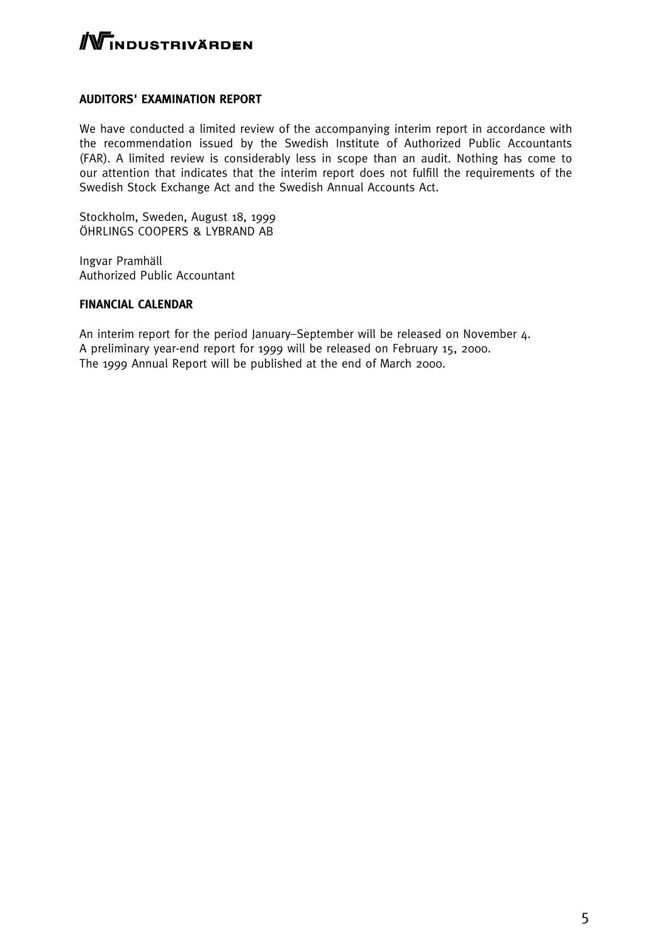

#### **AUDITORS' EXAMINATION REPORT**

We have conducted a limited review of the accompanying interim report in accordance with the recommendation issued by the Swedish Institute of Authorized Public Accountants (FAR). A limited review is considerably less in scope than an audit. Nothing has come to our attention that indicates that the interim report does not fulfill the requirements of the Swedish Stock Exchange Act and the Swedish Annual Accounts Act.

Stockholm, Sweden, August 18, 1999 ÖHRLINGS COOPERS & LYBRAND AB

Ingvar Pramhäll Authorized Public Accountant

#### **FINANCIAL CALENDAR**

An interim report for the period January–September will be released on November 4. A preliminary year-end report for 1999 will be released on February 15, 2000. The 1999 Annual Report will be published at the end of March 2000.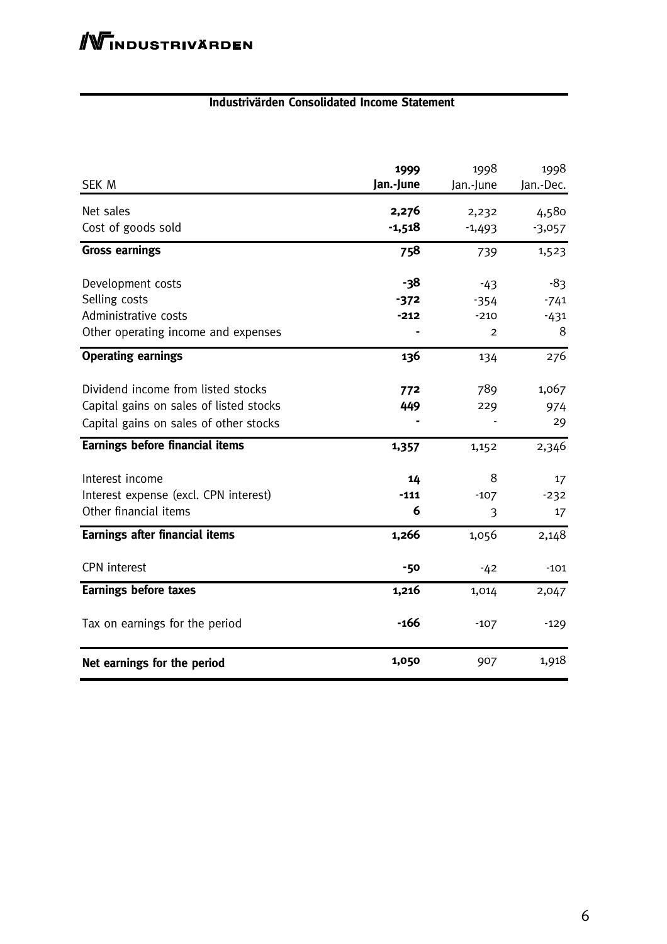#### **Industrivärden Consolidated Income Statement**

| SEK M                                                                                                                   | 1999<br>Jan.-June | 1998<br>Jan.-June | 1998<br>Jan.-Dec.  |
|-------------------------------------------------------------------------------------------------------------------------|-------------------|-------------------|--------------------|
| Net sales<br>Cost of goods sold                                                                                         | 2,276<br>$-1,518$ | 2,232<br>$-1,493$ | 4,580<br>$-3,057$  |
| <b>Gross earnings</b>                                                                                                   | 758               | 739               | 1,523              |
| Development costs<br>Selling costs                                                                                      | -38<br>$-372$     | $-43$<br>$-354$   | -83<br>$-741$      |
| Administrative costs<br>Other operating income and expenses                                                             | $-212$            | $-210$<br>2       | $-431$<br>8        |
| <b>Operating earnings</b>                                                                                               | 136               | 134               | 276                |
| Dividend income from listed stocks<br>Capital gains on sales of listed stocks<br>Capital gains on sales of other stocks | 772<br>449        | 789<br>229        | 1,067<br>974<br>29 |
| <b>Earnings before financial items</b>                                                                                  | 1,357             | 1,152             | 2,346              |
| Interest income<br>Interest expense (excl. CPN interest)<br>Other financial items                                       | 14<br>$-111$<br>6 | 8<br>$-107$<br>3  | 17<br>$-232$<br>17 |
| <b>Earnings after financial items</b>                                                                                   | 1,266             | 1,056             | 2,148              |
| <b>CPN</b> interest                                                                                                     | $-50$             | $-42$             | $-101$             |
| <b>Earnings before taxes</b>                                                                                            | 1,216             | 1,014             | 2,047              |
| Tax on earnings for the period                                                                                          | $-166$            | $-107$            | $-129$             |
| Net earnings for the period                                                                                             | 1,050             | 907               | 1,918              |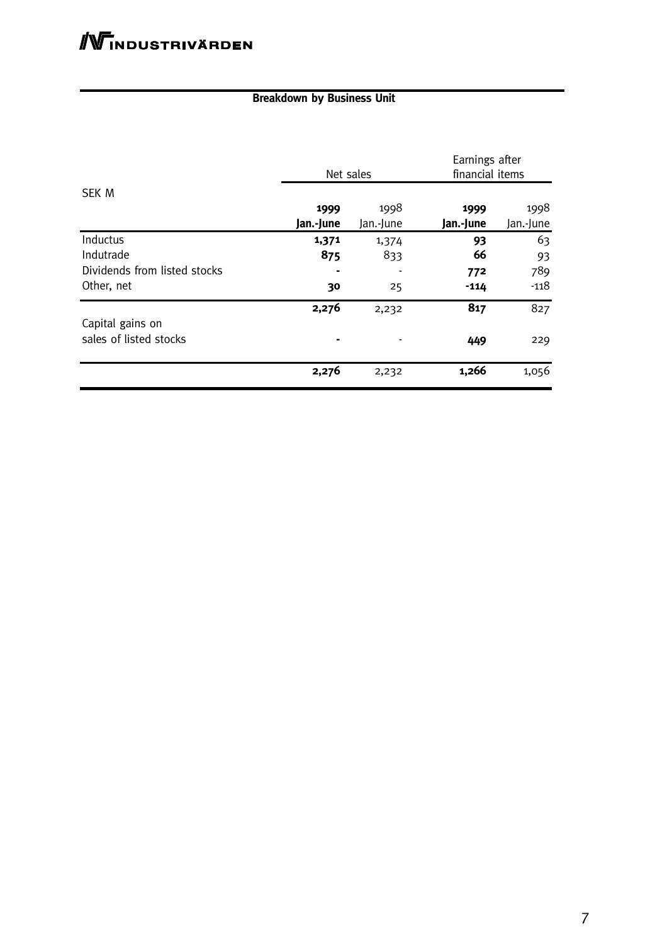## **Breakdown by Business Unit**

|                              | Earnings after<br>financial items<br>Net sales |           |           |           |
|------------------------------|------------------------------------------------|-----------|-----------|-----------|
| <b>SEK M</b>                 |                                                |           |           |           |
|                              | 1999                                           | 1998      | 1999      | 1998      |
|                              | Jan.-June                                      | Jan.-June | Jan.-June | Jan.-June |
| Inductus                     | 1,371                                          | 1,374     | 93        | 63        |
| Indutrade                    | 875                                            | 833       | 66        | 93        |
| Dividends from listed stocks |                                                |           | 772       | 789       |
| Other, net                   | 30                                             | 25        | $-114$    | $-118$    |
|                              | 2,276                                          | 2,232     | 817       | 827       |
| Capital gains on             |                                                |           |           |           |
| sales of listed stocks       |                                                |           | 449       | 229       |
|                              | 2,276                                          | 2,232     | 1,266     | 1,056     |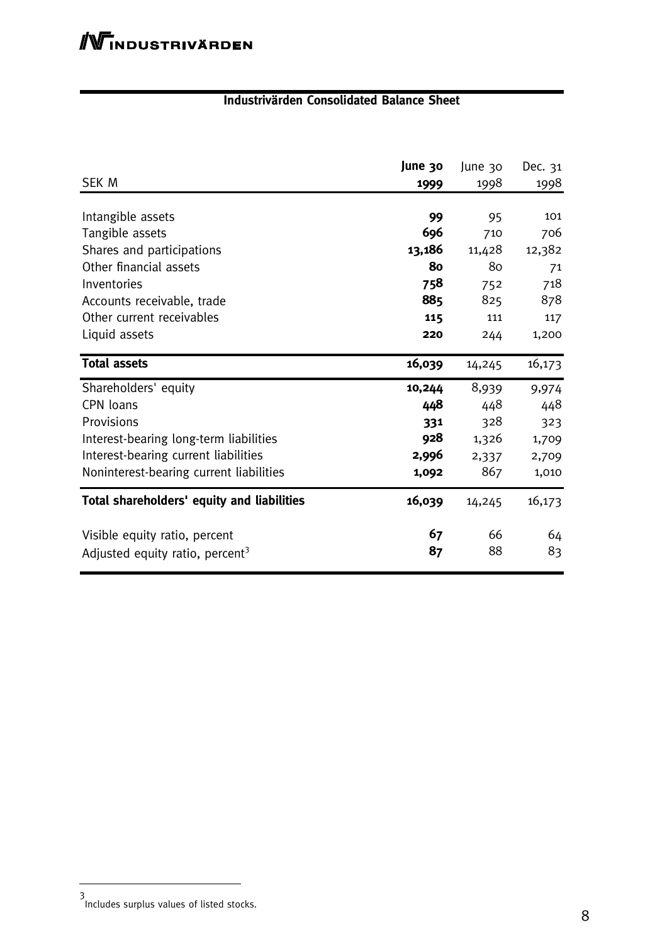## **Industrivärden Consolidated Balance Sheet**

| <b>SEK M</b>                                | June 30 | June 30 | Dec. 31 |
|---------------------------------------------|---------|---------|---------|
|                                             | 1999    | 1998    | 1998    |
| Intangible assets                           | 99      | 95      | 101     |
| Tangible assets                             | 696     | 710     | 706     |
| Shares and participations                   | 13,186  | 11,428  | 12,382  |
| Other financial assets                      | 80      | 80      | 71      |
| Inventories                                 | 758     | 752     | 718     |
| Accounts receivable, trade                  | 885     | 825     | 878     |
| Other current receivables                   | 115     | 111     | 117     |
| Liquid assets                               | 220     | 244     | 1,200   |
| <b>Total assets</b>                         | 16,039  | 14,245  | 16,173  |
| Shareholders' equity                        | 10,244  | 8,939   | 9,974   |
| CPN loans                                   | 448     | 448     | 448     |
| Provisions                                  | 331     | 328     | 323     |
| Interest-bearing long-term liabilities      | 928     | 1,326   | 1,709   |
| Interest-bearing current liabilities        | 2,996   | 2,337   | 2,709   |
| Noninterest-bearing current liabilities     | 1,092   | 867     | 1,010   |
| Total shareholders' equity and liabilities  | 16,039  | 14,245  | 16,173  |
| Visible equity ratio, percent               | 67      | 66      | 64      |
| Adjusted equity ratio, percent <sup>3</sup> | 87      | 88      | 83      |

<sup>3</sup> Includes surplus values of listed stocks.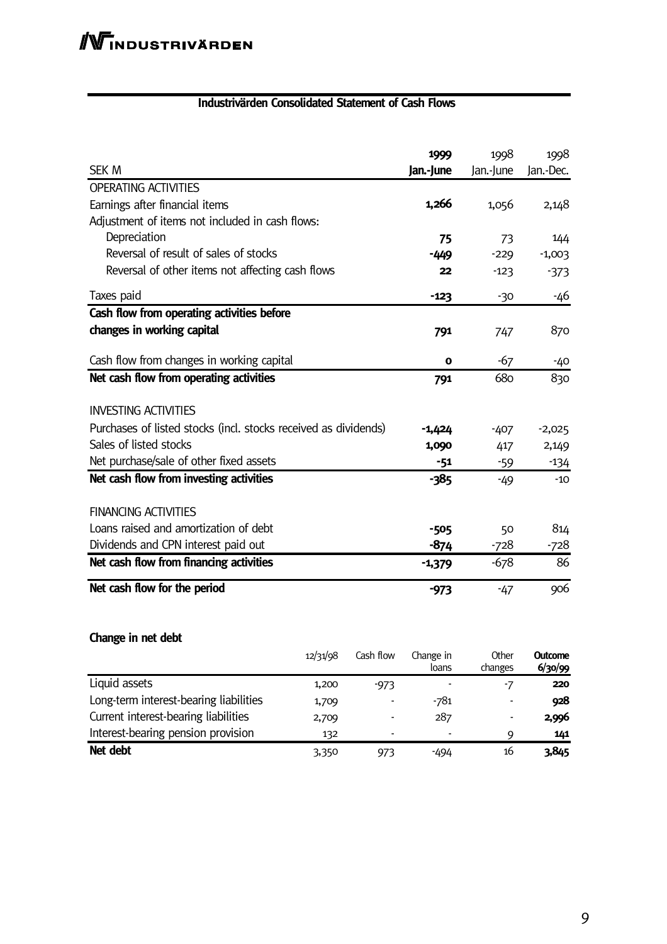## **Industrivärden Consolidated Statement of Cash Flows**

| <b>SEK M</b>                                                    | 1999<br>Jan.-June | 1998<br>Jan.-June | 1998<br>Jan.-Dec. |
|-----------------------------------------------------------------|-------------------|-------------------|-------------------|
| <b>OPERATING ACTIVITIES</b>                                     |                   |                   |                   |
| Earnings after financial items                                  | 1,266             | 1,056             | 2,148             |
| Adjustment of items not included in cash flows:                 |                   |                   |                   |
| Depreciation                                                    | 75                | 73                | 144               |
| Reversal of result of sales of stocks                           | -449              | $-229$            | $-1,003$          |
| Reversal of other items not affecting cash flows                | 22                | $-123$            | $-373$            |
| Taxes paid                                                      | $-123$            | $-30$             | -46               |
| Cash flow from operating activities before                      |                   |                   |                   |
| changes in working capital                                      | 791               | 747               | 870               |
| Cash flow from changes in working capital                       | O                 | $-67$             | -40               |
| Net cash flow from operating activities                         | 791               | 680               | 830               |
| <b>INVESTING ACTIVITIES</b>                                     |                   |                   |                   |
| Purchases of listed stocks (incl. stocks received as dividends) | -1,424            | $-407$            | $-2,025$          |
| Sales of listed stocks                                          | 1,090             | 417               | 2,149             |
| Net purchase/sale of other fixed assets                         | $-51$             | $-59$             | $-134$            |
| Net cash flow from investing activities                         | $-385$            | $-49$             | $-10$             |
| <b>FINANCING ACTIVITIES</b>                                     |                   |                   |                   |
| Loans raised and amortization of debt                           | $-505$            | 50                | 814               |
| Dividends and CPN interest paid out                             | -874              | -728              | -728              |
| Net cash flow from financing activities                         | $-1,379$          | $-678$            | 86                |
| Net cash flow for the period                                    | -973              | $-47$             | 906               |

# **Change in net debt**

|                                        | 12/31/98 | Cash flow | Change in<br>loans | Other<br>changes         | <b>Outcome</b><br>6/30/99 |
|----------------------------------------|----------|-----------|--------------------|--------------------------|---------------------------|
| Liquid assets                          | 1,200    | $-973$    |                    | -7                       | 220                       |
| Long-term interest-bearing liabilities | 1,709    | ۰         | -781               | $\overline{\phantom{a}}$ | 928                       |
| Current interest-bearing liabilities   | 2,709    | -         | 287                | $\overline{\phantom{a}}$ | 2,996                     |
| Interest-bearing pension provision     | 132      | -         |                    | Q                        | 141                       |
| Net debt                               | 3,350    | 973       | -494               | 16                       | 3,845                     |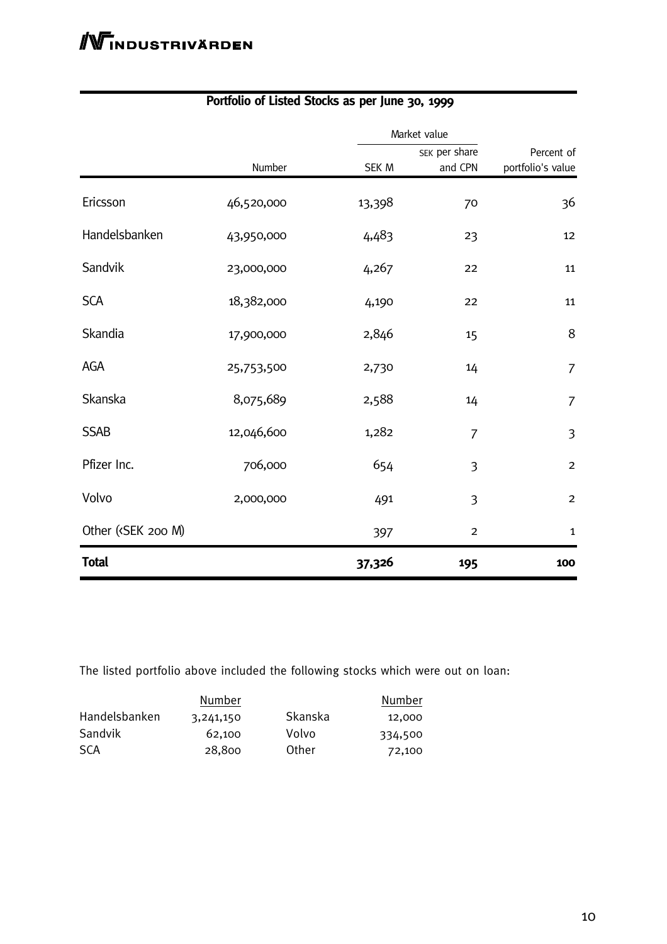|                                                                                                                                |            |        | Market value   |                   |  |
|--------------------------------------------------------------------------------------------------------------------------------|------------|--------|----------------|-------------------|--|
|                                                                                                                                |            |        | SEK per share  | Percent of        |  |
|                                                                                                                                | Number     | SEK M  | and CPN        | portfolio's value |  |
| Ericsson                                                                                                                       | 46,520,000 | 13,398 | 70             | 36                |  |
| Handelsbanken                                                                                                                  | 43,950,000 | 4,483  | 23             | 12                |  |
| Sandvik                                                                                                                        | 23,000,000 | 4,267  | 22             | 11                |  |
| <b>SCA</b>                                                                                                                     | 18,382,000 | 4,190  | 22             | 11                |  |
| Skandia                                                                                                                        | 17,900,000 | 2,846  | 15             | 8                 |  |
| AGA                                                                                                                            | 25,753,500 | 2,730  | 14             | $\overline{7}$    |  |
| Skanska                                                                                                                        | 8,075,689  | 2,588  | 14             | $\overline{7}$    |  |
| <b>SSAB</b>                                                                                                                    | 12,046,600 | 1,282  | 7              | $\overline{3}$    |  |
| Pfizer Inc.                                                                                                                    | 706,000    | 654    | 3              | $\overline{c}$    |  |
| Volvo                                                                                                                          | 2,000,000  | 491    | 3              | $\overline{c}$    |  |
| Other ( <sek 200="" m)<="" td=""><td></td><td>397</td><td><math>\overline{2}</math></td><td><math>\mathbf{1}</math></td></sek> |            | 397    | $\overline{2}$ | $\mathbf{1}$      |  |
| <b>Total</b>                                                                                                                   |            | 37,326 | 195            | 100               |  |

# **Portfolio of Listed Stocks as per June 30, 1999**

The listed portfolio above included the following stocks which were out on loan:

|               | Number    |         | Number  |
|---------------|-----------|---------|---------|
| Handelsbanken | 3,241,150 | Skanska | 12,000  |
| Sandvik       | 62.100    | Volvo   | 334,500 |
| <b>SCA</b>    | 28,800    | Other   | 72,100  |